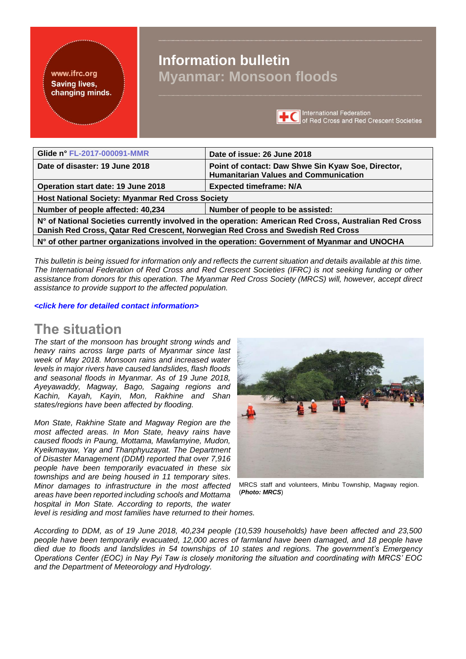#### <span id="page-0-0"></span>www.ifrc.org **Saving lives.** changing minds.

# **Information bulletin Myanmar: Monsoon floods**



| Glide n° FL-2017-000091-MMR                                                                                                                                                               | Date of issue: 26 June 2018                                                                        |
|-------------------------------------------------------------------------------------------------------------------------------------------------------------------------------------------|----------------------------------------------------------------------------------------------------|
| Date of disaster: 19 June 2018                                                                                                                                                            | Point of contact: Daw Shwe Sin Kyaw Soe, Director,<br><b>Humanitarian Values and Communication</b> |
| Operation start date: 19 June 2018                                                                                                                                                        | <b>Expected timeframe: N/A</b>                                                                     |
| Host National Society: Myanmar Red Cross Society                                                                                                                                          |                                                                                                    |
| Number of people affected: 40,234                                                                                                                                                         | Number of people to be assisted:                                                                   |
| N° of National Societies currently involved in the operation: American Red Cross, Australian Red Cross<br>Danish Red Cross, Qatar Red Crescent, Norwegian Red Cross and Swedish Red Cross |                                                                                                    |
| N° of other partner organizations involved in the operation: Government of Myanmar and UNOCHA                                                                                             |                                                                                                    |

*This bulletin is being issued for information only and reflects the current situation and details available at this time. The International Federation of Red Cross and Red Crescent Societies (IFRC) is not seeking funding or other assistance from donors for this operation. The Myanmar Red Cross Society (MRCS) will, however, accept direct assistance to provide support to the affected population.* 

*[<click here for detailed contact information>](#page-2-0)*

## The situation

*The start of the monsoon has brought strong winds and heavy rains across large parts of Myanmar since last week of May 2018. Monsoon rains and increased water levels in major rivers have caused landslides, flash floods and seasonal floods in Myanmar. As of 19 June 2018, Ayeyawaddy, Magway, Bago, Sagaing regions and Kachin, Kayah, Kayin, Mon, Rakhine and Shan states/regions have been affected by flooding.* 

*Mon State, Rakhine State and Magway Region are the most affected areas. In Mon State, heavy rains have caused floods in Paung, Mottama, Mawlamyine, Mudon, Kyeikmayaw, Yay and Thanphyuzayat. The Department of Disaster Management (DDM) reported that over 7,916 people have been temporarily evacuated in these six townships and are being housed in 11 temporary sites. Minor damages to infrastructure in the most affected areas have been reported including schools and Mottama hospital in Mon State. According to reports, the water* 



MRCS staff and volunteers, Minbu Township, Magway region. (*Photo: MRCS*)

*level is residing and most families have returned to their homes.* 

*According to DDM, as of 19 June 2018, 40,234 people (10,539 households) have been affected and 23,500 people have been temporarily evacuated, 12,000 acres of farmland have been damaged, and 18 people have died due to floods and landslides in 54 townships of 10 states and regions. The government's Emergency Operations Center (EOC) in Nay Pyi Taw is closely monitoring the situation and coordinating with MRCS' EOC and the Department of Meteorology and Hydrology.*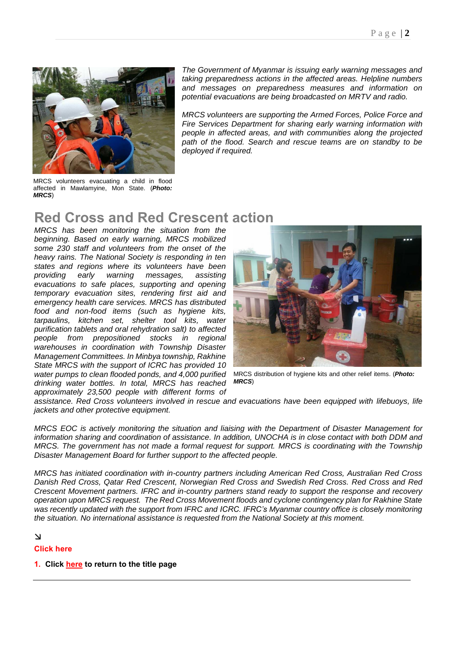

*The Government of Myanmar is issuing early warning messages and taking preparedness actions in the affected areas. Helpline numbers and messages on preparedness measures and information on potential evacuations are being broadcasted on MRTV and radio.*

*MRCS volunteers are supporting the Armed Forces, Police Force and Fire Services Department for sharing early warning information with people in affected areas, and with communities along the projected path of the flood. Search and rescue teams are on standby to be deployed if required.*

MRCS volunteers evacuating a child in flood affected in Mawlamyine, Mon State. (*Photo: MRCS*)

# Red Cross and Red Crescent action

*MRCS has been monitoring the situation from the beginning. Based on early warning, MRCS mobilized some 230 staff and volunteers from the onset of the heavy rains. The National Society is responding in ten states and regions where its volunteers have been providing early warning messages, assisting evacuations to safe places, supporting and opening temporary evacuation sites, rendering first aid and emergency health care services. MRCS has distributed food and non-food items (such as hygiene kits, tarpaulins, kitchen set, shelter tool kits, water purification tablets and oral rehydration salt) to affected people from prepositioned stocks in regional warehouses in coordination with Township Disaster Management Committees. In Minbya township, Rakhine State MRCS with the support of ICRC has provided 10 water pumps to clean flooded ponds, and 4,000 purified drinking water bottles. In total, MRCS has reached approximately 23,500 people with different forms of* 



MRCS distribution of hygiene kits and other relief items. (*Photo: MRCS*)

*assistance. Red Cross volunteers involved in rescue and evacuations have been equipped with lifebuoys, life jackets and other protective equipment.* 

*MRCS EOC is actively monitoring the situation and liaising with the Department of Disaster Management for information sharing and coordination of assistance. In addition, UNOCHA is in close contact with both DDM and MRCS. The government has not made a formal request for support. MRCS is coordinating with the Township Disaster Management Board for further support to the affected people.*

*MRCS has initiated coordination with in-country partners including American Red Cross, Australian Red Cross Danish Red Cross, Qatar Red Crescent, Norwegian Red Cross and Swedish Red Cross. Red Cross and Red Crescent Movement partners. IFRC and in-country partners stand ready to support the response and recovery operation upon MRCS request. The Red Cross Movement floods and cyclone contingency plan for Rakhine State was recently updated with the support from IFRC and ICRC. IFRC's Myanmar country office is closely monitoring the situation. No international assistance is requested from the National Society at this moment.*

#### $\Delta$

#### Click here

#### 1. Click [here](#page-0-0) to return to the title page